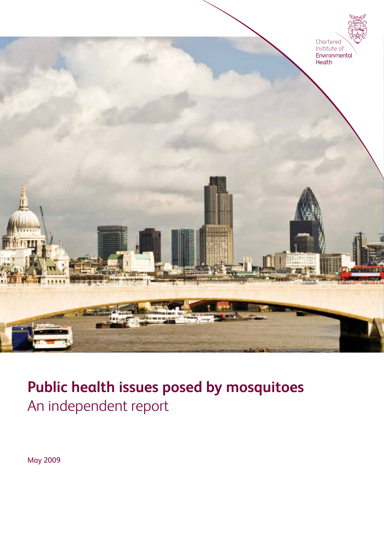

### **Public health issues posed by mosquitoes**  An independent report

May 2009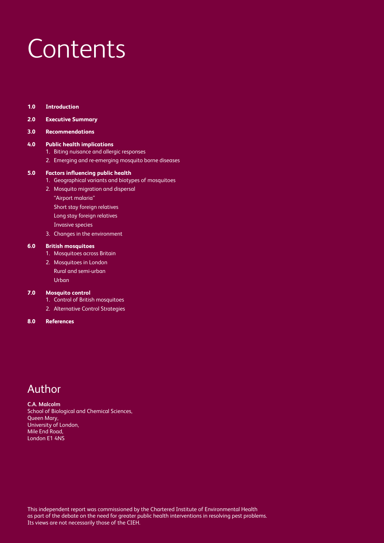### **Contents**

**1.0 Introduction**

#### **2.0 Executive Summary**

#### **3.0 Recommendations**

#### **4.0 Public health implications**

- 1. Biting nuisance and allergic responses
- 2. Emerging and re-emerging mosquito borne diseases

#### **5.0 Factors influencing public health**

- 1. Geographical variants and biotypes of mosquitoes
- 2. Mosquito migration and dispersal
	- "Airport malaria"
	- Short stay foreign relatives
	- Long stay foreign relatives
- Invasive species
- 3. Changes in the environment

#### **6.0 British mosquitoes**

- 1. Mosquitoes across Britain
- 2. Mosquitoes in London Rural and semi-urban Urban

#### **7.0 Mosquito control**

- 1. Control of British mosquitoes
- 2. Alternative Control Strategies

#### **8.0 References**

### Author

**C.A. Malcolm** School of Biological and Chemical Sciences, Queen Mary, University of London, Mile End Road, London E1 4NS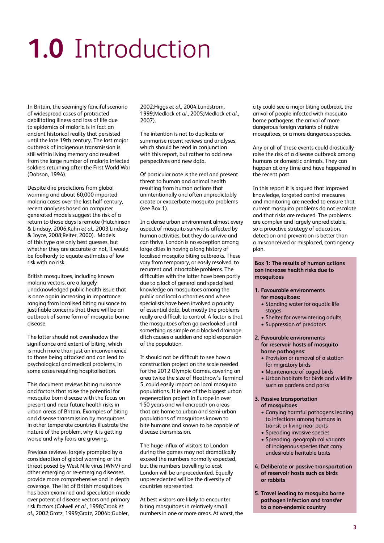## **1.0** Introduction

In Britain, the seemingly fanciful scenario of widespread cases of protracted debilitating illness and loss of life due to epidemics of malaria is in fact an ancient historical reality that persisted until the late 19th century. The last major outbreak of indigenous transmission is still within living memory and resulted from the large number of malaria infected soldiers returning after the First World War (Dobson, 1994).

Despite dire predictions from global warming and about 60,000 imported malaria cases over the last half century, recent analyses based on computer generated models suggest the risk of a return to those days is remote (Hutchinson & Lindsay, 2006;Kuhn *et al*., 2003;Lindsay & Joyce, 2008;Reiter, 2000). Models of this type are only best guesses, but whether they are accurate or not, it would be foolhardy to equate estimates of low risk with no risk.

British mosquitoes, including known malaria vectors, are a largely unacknowledged public health issue that is once again increasing in importance: ranging from localised biting nuisance to justifiable concerns that there will be an outbreak of some form of mosquito borne disease.

The latter should not overshadow the significance and extent of biting, which is much more than just an inconvenience to those being attacked and can lead to psychological and medical problems, in some cases requiring hospitalisation.

This document reviews biting nuisance and factors that raise the potential for mosquito born disease with the focus on present and near future health risks in urban areas of Britain. Examples of biting and disease transmission by mosquitoes in other temperate countries illustrate the nature of the problem, why it is getting worse and why fears are growing.

Previous reviews, largely prompted by a consideration of global warming or the threat posed by West Nile virus (WNV) and other emerging or re-emerging diseases, provide more comprehensive and in depth coverage. The list of British mosquitoes has been examined and speculation made over potential disease vectors and primary risk factors (Colwell *et al*., 1998;Crook *et al*., 2002;Gratz, 1999;Gratz, 2004b;Gubler,

2002;Higgs *et al*., 2004;Lundstrom, 1999;Medlock *et al*., 2005;Medlock *et al*., 2007).

The intention is not to duplicate or summarise recent reviews and analyses, which should be read in conjunction with this report, but rather to add new perspectives and new data.

Of particular note is the real and present threat to human and animal health resulting from human actions that unintentionally and often unpredictably create or exacerbate mosquito problems (see Box 1).

In a dense urban environment almost every aspect of mosquito survival is affected by human activities, but they do survive and can thrive. London is no exception among large cities in having a long history of localised mosquito biting outbreaks. These vary from temporary, or easily resolved, to recurrent and intractable problems. The difficulties with the latter have been partly due to a lack of general and specialised knowledge on mosquitoes among the public and local authorities and where specialists have been involved a paucity of essential data, but mostly the problems really are difficult to control. A factor is that the mosquitoes often go overlooked until something as simple as a blocked drainage ditch causes a sudden and rapid expansion of the population.

It should not be difficult to see how a construction project on the scale needed for the 2012 Olympic Games, covering an area twice the size of Heathrow's Terminal 5, could easily impact on local mosquito populations. It is one of the biggest urban regeneration project in Europe in over 150 years and will encroach on areas that are home to urban and semi-urban populations of mosquitoes known to bite humans and known to be capable of disease transmission.

The huge influx of visitors to London during the games may not dramatically exceed the numbers normally expected, but the numbers travelling to east London will be unprecedented. Equally unprecedented will be the diversity of countries represented.

At best visitors are likely to encounter biting mosquitoes in relatively small numbers in one or more areas. At worst, the city could see a major biting outbreak, the arrival of people infected with mosquito borne pathogens, the arrival of more dangerous foreign variants of native mosquitoes, or a more dangerous species.

Any or all of these events could drastically raise the risk of a disease outbreak among humans or domestic animals. They can happen at any time and have happened in the recent past.

In this report it is argued that improved knowledge, targeted control measures and monitoring are needed to ensure that current mosquito problems do not escalate and that risks are reduced. The problems are complex and largely unpredictable, so a proactive strategy of education, detection and prevention is better than a misconceived or misplaced, contingency plan.

**Box 1: The results of human actions can increase health risks due to mosquitoes**

#### **1. Favourable environments for mosquitoes:**

- Standing water for aquatic life stages
- Shelter for overwintering adults
- Suppression of predators

#### **2. Favourable environments for reservoir hosts of mosquito borne pathogens:**

- Provision or removal of a station for migratory birds
- Maintenance of caged birds
- Urban habitats for birds and wildlife such as gardens and parks

### **3. Passive transportation**

- **of mosquitoes**
- Carrying harmful pathogens leading to infections among humans in transit or living near ports
- Spreading invasive species
- Spreading geographical variants of indigenous species that carry undesirable heritable traits
- **4. Deliberate or passive transportation of reservoir hosts such as birds or rabbits**
- **5. Travel leading to mosquito borne pathogen infection and transfer to a non-endemic country**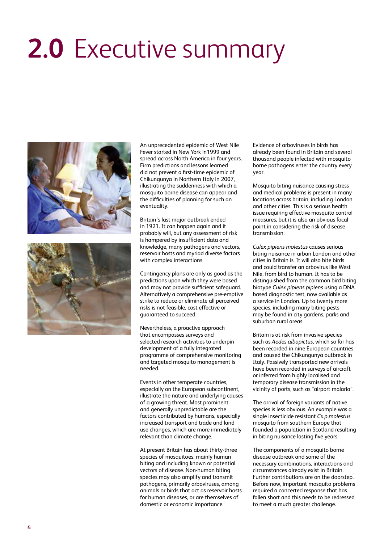## **2.0** Executive summary



An unprecedented epidemic of West Nile Fever started in New York in1999 and spread across North America in four years. Firm predictions and lessons learned did not prevent a first-time epidemic of Chikungunya in Northern Italy in 2007, illustrating the suddenness with which a mosquito borne disease can appear and the difficulties of planning for such an eventuality.

Britain's last major outbreak ended in 1921. It can happen again and it probably will, but any assessment of risk is hampered by insufficient data and knowledge, many pathogens and vectors, reservoir hosts and myriad diverse factors with complex interactions.

Contingency plans are only as good as the predictions upon which they were based and may not provide sufficient safeguard. Alternatively a comprehensive pre-emptive strike to reduce or eliminate all perceived risks is not feasible, cost effective or guaranteed to succeed.

Nevertheless, a proactive approach that encompasses surveys and selected research activities to underpin development of a fully integrated programme of comprehensive monitoring and targeted mosquito management is needed.

Events in other temperate countries, especially on the European subcontinent, illustrate the nature and underlying causes of a growing threat. Most prominent and generally unpredictable are the factors contributed by humans, especially increased transport and trade and land use changes, which are more immediately relevant than climate change.

At present Britain has about thirty-three species of mosquitoes; mainly human biting and including known or potential vectors of disease. Non-human biting species may also amplify and transmit pathogens, primarily arboviruses, among animals or birds that act as reservoir hosts for human diseases, or are themselves of domestic or economic importance.

Evidence of arboviruses in birds has already been found in Britain and several thousand people infected with mosquito borne pathogens enter the country every year.

Mosquito biting nuisance causing stress and medical problems is present in many locations across britain, including London and other cities. This is a serious health issue requiring effective mosquito control measures, but it is also an obvious focal point in considering the risk of disease transmission.

*Culex pipiens molestus* causes serious biting nuisance in urban London and other cities in Britain is. It will also bite birds and could transfer an arbovirus like West Nile, from bird to human. It has to be distinguished from the common bird biting biotype *Culex pipiens pipiens* using a DNA based diagnostic test, now available as a service in London. Up to twenty more species, including many biting pests may be found in city gardens, parks and suburban rural areas.

Britain is at risk from invasive species such as *Aedes albopictus*, which so far has been recorded in nine European countries and caused the Chikungunya outbreak in Italy. Passively transported new arrivals have been recorded in surveys of aircraft or inferred from highly localised and temporary disease transmission in the vicinity of ports, such as "airport malaria".

The arrival of foreign variants of native species is less obvious. An example was a single insecticide resistant *Cx.p.molestus* mosquito from southern Europe that founded a population in Scotland resulting in biting nuisance lasting five years.

The components of a mosquito borne disease outbreak and some of the necessary combinations, interactions and circumstances already exist in Britain. Further contributions are on the doorstep. Before now, important mosquito problems required a concerted response that has fallen short and this needs to be redressed to meet a much greater challenge.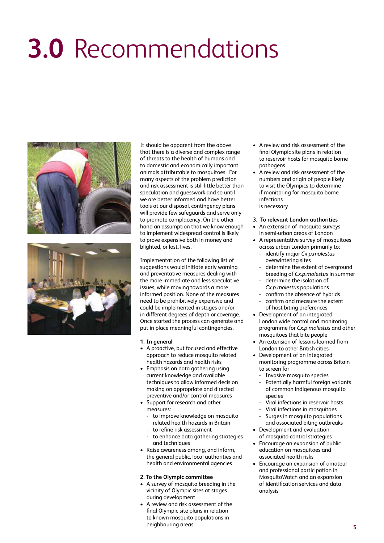## **3.0** Recommendations





It should be apparent from the above that there is a diverse and complex range of threats to the health of humans and to domestic and economically important animals attributable to mosquitoes. For many aspects of the problem prediction and risk assessment is still little better than speculation and guesswork and so until we are better informed and have better tools at our disposal, contingency plans will provide few safeguards and serve only to promote complacency. On the other hand an assumption that we know enough to implement widespread control is likely to prove expensive both in money and blighted, or lost, lives.

Implementation of the following list of suggestions would initiate early warning and preventative measures dealing with the more immediate and less speculative issues, while moving towards a more informed position. None of the measures need to be prohibitively expensive and could be implemented in stages and/or in different degrees of depth or coverage. Once started the process can generate and put in place meaningful contingencies.

- **1. In general**
- A proactive, but focused and effective approach to reduce mosquito related health hazards and health risks
- Emphasis on data gathering using current knowledge and available techniques to allow informed decision making on appropriate and directed preventive and/or control measures
- Support for research and other measures:
	- to improve knowledge on mosquito related health hazards in Britain - to refine risk assessment
	-
	- to enhance data gathering strategies and techniques
- Raise awareness among, and inform, the general public, local authorities and health and environmental agencies

#### **2. To the Olympic committee**

- A survey of mosquito breeding in the vicinity of Olympic sites at stages during development
- A review and risk assessment of the final Olympic site plans in relation to known mosquito populations in neighbouring areas
- A review and risk assessment of the final Olympic site plans in relation to reservoir hosts for mosquito borne pathogens
- A review and risk assessment of the numbers and origin of people likely to visit the Olympics to determine if monitoring for mosquito borne infections is necessary
- **3. To relevant London authorities**
- An extension of mosquito surveys in semi-urban areas of London
- A representative survey of mosquitoes across urban London primarily to:
	- identify major *Cx.p.molestus* overwintering sites
	- determine the extent of overground breeding of *Cx.p.molestus* in summer
	- determine the isolation of *Cx.p.molestus* populations confirm the absence of hybrids
	- confirm and measure the extent
- of host biting preferences • Development of an integrated London wide control and monitoring
- programme for *Cx.p.molestus* and other mosquitoes that bite people
- An extension of lessons learned from London to other British cities
- Development of an integrated monitoring programme across Britain to screen for
	- Invasive mosquito species
- Potentially harmful foreign variants of common indigenous mosquito species
- Viral infections in reservoir hosts
- Viral infections in mosquitoes
- Surges in mosquito populations and associated biting outbreaks
- Development and evaluation of mosquito control strategies
- Encourage an expansion of public education on mosquitoes and associated health risks
- Encourage an expansion of amateur and professional participation in MosquitoWatch and an expansion of identification services and data analysis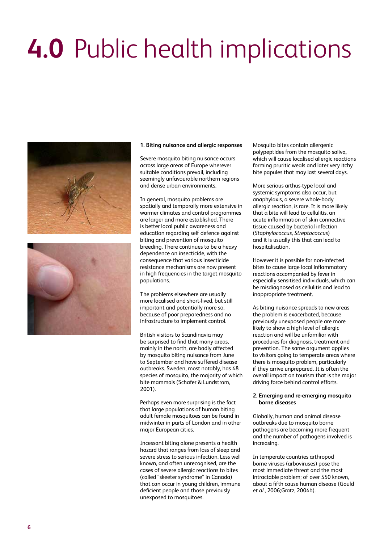# **4.0** Public health implications





#### **1. Biting nuisance and allergic responses**

Severe mosquito biting nuisance occurs across large areas of Europe wherever suitable conditions prevail, including seemingly unfavourable northern regions and dense urban environments.

In general, mosquito problems are spatially and temporally more extensive in warmer climates and control programmes are larger and more established. There is better local public awareness and education regarding self defence against biting and prevention of mosquito breeding. There continues to be a heavy dependence on insecticide, with the consequence that various insecticide resistance mechanisms are now present in high frequencies in the target mosquito populations.

The problems elsewhere are usually more localised and short-lived, but still important and potentially more so, because of poor preparedness and no infrastructure to implement control.

British visitors to Scandinavia may be surprised to find that many areas, mainly in the north, are badly affected by mosquito biting nuisance from June to September and have suffered disease outbreaks. Sweden, most notably, has 48 species of mosquito, the majority of which bite mammals (Schafer & Lundstrom, 2001).

Perhaps even more surprising is the fact that large populations of human biting adult female mosquitoes can be found in midwinter in parts of London and in other major European cities.

Incessant biting alone presents a health hazard that ranges from loss of sleep and severe stress to serious infection. Less well known, and often unrecognised, are the cases of severe allergic reactions to bites (called "skeeter syndrome" in Canada) that can occur in young children, immune deficient people and those previously unexposed to mosquitoes.

Mosquito bites contain allergenic polypeptides from the mosquito saliva, which will cause localised allergic reactions forming pruritic weals and later very itchy bite papules that may last several days.

More serious arthus-type local and systemic symptoms also occur, but anaphylaxis, a severe whole-body allergic reaction, is rare. It is more likely that a bite will lead to cellulitis, an acute inflammation of skin connective tissue caused by bacterial infection (*Staphylococcus, Streptococcus*) and it is usually this that can lead to hospitalisation.

However it is possible for non-infected bites to cause large local inflammatory reactions accompanied by fever in especially sensitised individuals, which can be misdiagnosed as cellulitis and lead to inappropriate treatment.

As biting nuisance spreads to new areas the problem is exacerbated, because previously unexposed people are more likely to show a high level of allergic reaction and will be unfamiliar with procedures for diagnosis, treatment and prevention. The same argument applies to visitors going to temperate areas where there is mosquito problem, particularly if they arrive unprepared. It is often the overall impact on tourism that is the major driving force behind control efforts.

#### **2. Emerging and re-emerging mosquito borne diseases**

Globally, human and animal disease outbreaks due to mosquito borne pathogens are becoming more frequent and the number of pathogens involved is increasing.

In temperate countries arthropod borne viruses (arboviruses) pose the most immediate threat and the most intractable problem; of over 550 known, about a fifth cause human disease (Gould *et al*., 2006;Gratz, 2004b).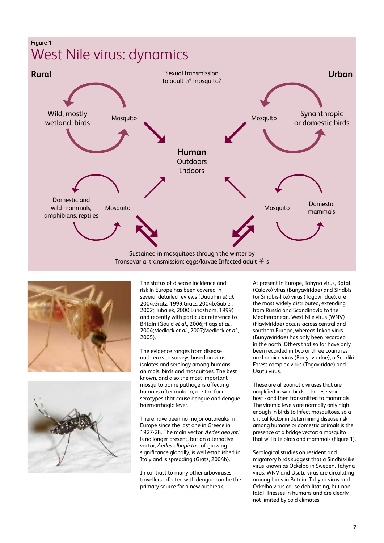





The status of disease incidence and risk in Europe has been covered in several detailed reviews (Dauphin *et al*., 2004;Gratz, 1999;Gratz, 2004b;Gubler, 2002;Hubalek, 2000;Lundstrom, 1999) and recently with particular reference to Britain (Gould *et al*., 2006;Higgs *et al*., 2004;Medlock *et al*., 2007;Medlock *et al*., 2005).

The evidence ranges from disease outbreaks to surveys based on virus isolates and serology among humans, animals, birds and mosquitoes. The best known, and also the most important mosquito borne pathogens affecting humans after malaria, are the four serotypes that cause dengue and dengue haemorrhagic fever.

There have been no major outbreaks in Europe since the last one in Greece in 1927-28. The main vector, *Aedes aegypti*, is no longer present, but an alternative vector, *Aedes albopictus*, of growing significance globally, is well established in Italy and is spreading (Gratz, 2004b).

In contrast to many other arboviruses travellers infected with dengue can be the primary source for a new outbreak.

At present in Europe, Tahyna virus, Batai (Calovo) virus (Bunyaviridae) and Sindbis (or Sindbis-like) virus (Togoviridae), are the most widely distributed, extending from Russia and Scandinavia to the Mediterranean. West Nile virus (WNV) (Flaviviridae) occurs across central and southern Europe, whereas Inkoo virus (Bunyaviridae) has only been recorded in the north. Others that so far have only been recorded in two or three countries are Lednice virus (Bunyaviridae), a Semliki Forest complex virus (Togaviridae) and Usutu virus.

These are all zoonotic viruses that are amplified in wild birds - the reservoir host - and then transmitted to mammals. The viremia levels are normally only high enough in birds to infect mosquitoes, so a critical factor in determining disease risk among humans or domestic animals is the presence of a bridge vector: a mosquito that will bite birds and mammals (Figure 1).

Serological studies on resident and migratory birds suggest that a Sindbis-like virus known as Ockelbo in Sweden, Tahyna virus, WNV and Usutu virus are circulating among birds in Britain. Tahyna virus and Ockelbo virus cause debilitating, but nonfatal illnesses in humans and are clearly not limited by cold climates.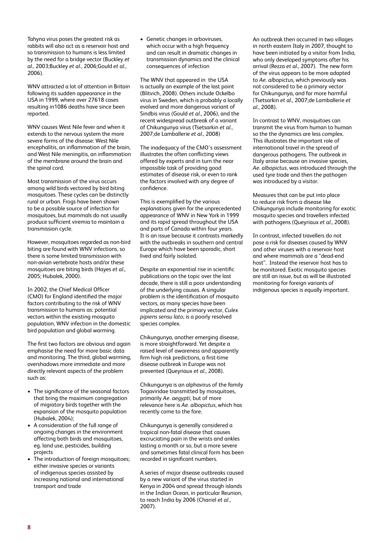Tahyna virus poses the greatest risk as rabbits will also act as a reservoir host and so transmission to humans is less limited by the need for a bridge vector (Buckley *et al*., 2003;Buckley *et al*., 2006;Gould *et al*., 2006).

WNV attracted a lot of attention in Britain following its sudden appearance in the USA in 1999, where over 27618 cases resulting in1086 deaths have since been reported.

WNV causes West Nile fever and when it extends to the nervous system the more severe forms of the disease: West Nile encephalitis, an inflammation of the brain, and West Nile meningitis, an inflammation of the membrane around the brain and the spinal cord.

Most transmission of the virus occurs among wild birds vectored by bird biting mosquitoes. These cycles can be distinctly rural or urban. Frogs have been shown to be a possible source of infection for mosquitoes, but mammals do not usually produce sufficient viremia to maintain a transmission cycle.

However, mosquitoes regarded as non-bird biting are found with WNV infections, so there is some limited transmission with non-avian vertebrate hosts and/or these mosquitoes are biting birds (Hayes *et al*., 2005; Hubalek, 2000).

In 2002, the Chief Medical Officer (CMO) for England identified the major factors contributing to the risk of WNV transmission to humans as: potential vectors within the existing mosquito population, WNV infection in the domestic bird population and global warming.

The first two factors are obvious and again emphasise the need for more basic data and monitoring. The third, global warming, overshadows more immediate and more directly relevant aspects of the problem such as:

- The significance of the seasonal factors that bring the maximum congregation of migratory birds together with the expansion of the mosquito population (Hubalek, 2004);
- A consideration of the full range of ongoing changes in the environment affecting both birds and mosquitoes, eg. land use, pesticides, building projects
- The introduction of foreign mosquitoes; either invasive species or variants of indigenous species assisted by increasing national and international transport and trade

• Genetic changes in arboviruses, which occur with a high frequency and can result in dramatic changes in transmission dynamics and the clinical consequences of infection

The WNV that appeared in the USA is actually an example of the last point (Blitvich, 2008). Others include Ockelbo virus in Sweden, which is probably a locally evolved and more dangerous variant of Sindbis virus (Gould *et al*., 2006), and the recent widespread outbreak of a variant of Chikungunya virus (Tsetsarkin *et al*., 2007;de Lamballerie *et al*., 2008)

The inadequacy of the CMO's assessment illustrates the often conflicting views offered by experts and in turn the near impossible task of providing good estimates of disease risk, or even to rank the factors involved with any degree of confidence.

This is exemplified by the various explanations given for the unprecedented appearance of WNV in New York in 1999 and its rapid spread throughout the USA and parts of Canada within four years. It is an issue because it contrasts markedly with the outbreaks in southern and central Europe which have been sporadic, short lived and fairly isolated.

Despite an exponential rise in scientific publications on the topic over the last decade, there is still a poor understanding of the underlying causes. A singular problem is the identification of mosquito vectors, as many species have been implicated and the primary vector, *Culex pipiens sensu lato*, is a poorly resolved species complex.

Chikungunya, another emerging disease, is more straightforward. Yet despite a raised level of awareness and apparently firm high risk predictions, a first-time disease outbreak in Europe was not prevented (Queyriaux *et al*., 2008).

Chikungunya is an alphavirus of the family Togaviridae transmitted by mosquitoes, primarily *Ae. aegypti*, but of more relevance here is *Ae. albopictus*, which has recently come to the fore.

Chikungunya is generally considered a tropical non-fatal disease that causes excruciating pain in the wrists and ankles lasting a month or so, but a more severe and sometimes fatal clinical form has been recorded in significant numbers.

A series of major disease outbreaks caused by a new variant of the virus started in Kenya in 2004 and spread through islands in the Indian Ocean, in particular Reunion, to reach India by 2006 (Charrel *et al*., 2007).

An outbreak then occurred in two villages in north eastern Italy in 2007, thought to have been initiated by a visitor from India, who only developed symptoms after his arrival (Rezza *et al*., 2007). The new form of the virus appears to be more adapted to *Ae. albopictus*, which previously was not considered to be a primary vector for Chikungunya, and far more harmful (Tsetsarkin *et al*., 2007;de Lamballerie *et al*., 2008).

In contrast to WNV, mosquitoes can transmit the virus from human to human so the the dynamics are less complex. This illustrates the important role of international travel in the spread of dangerous pathogens. The outbreak in Italy arose because an invasive species, *Ae. albopictus*, was introduced through the used tyre trade and then the pathogen was introduced by a visitor.

Measures that can be put into place to reduce risk from a disease like Chikungunya include monitoring for exotic mosquito species and travellers infected with pathogens (Queyriaux *et al*., 2008).

In contrast, infected travellers do not pose a risk for diseases caused by WNV and other viruses with a reservoir host and where mammals are a "dead-end host". Instead the reservoir host has to be monitored. Exotic mosquito species are still an issue, but as will be illustrated monitoring for foreign variants of indigenous species is equally important.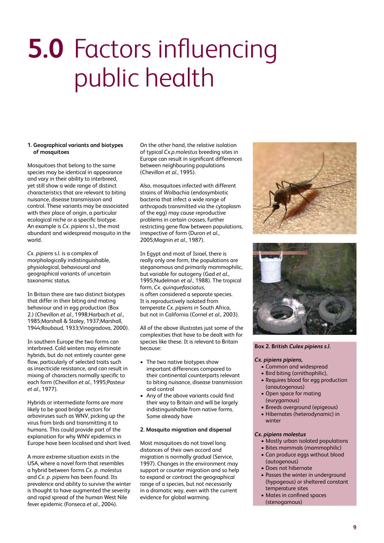## **5.0** Factors influencing public health

#### **1. Geographical variants and biotypes of mosquitoes**

Mosquitoes that belong to the same species may be identical in appearance and vary in their ability to interbreed, yet still show a wide range of distinct characteristics that are relevant to biting nuisance, disease transmission and control. These variants may be associated with their place of origin, a particular ecological niche or a specific biotype. An example is *Cx. pipiens* s.l., the most abundant and widespread mosquito in the world.

*Cx. pipiens* s.l. is a complex of morphologically indistinguishable, physiological, behavioural and geographical variants of uncertain taxonomic status.

In Britain there are two distinct biotypes that differ in their biting and mating behaviour and in egg production (Box 2.) (Chevillon *et al*., 1998;Harbach *et al*., 1985;Marshall & Staley, 1937;Marshall, 1944;Roubaud, 1933;Vinogradova, 2000).

In southern Europe the two forms can interbreed. Cold winters may eliminate hybrids, but do not entirely counter gene flow, particularly of selected traits such as insecticide resistance, and can result in mixing of characters normally specific to each form (Chevillon *et al*., 1995;Pasteur *et al*., 1977).

Hybrids or intermediate forms are more likely to be good bridge vectors for arboviruses such as WNV, picking up the virus from birds and transmitting it to humans. This could provide part of the explanation for why WNV epidemics in Europe have been localised and short lived.

A more extreme situation exists in the USA, where a novel form that resembles a hybrid between forms *Cx. p. molestus* and *Cx. p. pipiens* has been found. Its prevalence and ability to survive the winter is thought to have augmented the severity and rapid spread of the human West Nile fever epidemic (Fonseca *et al*., 2004).

On the other hand, the relative isolation of typical *Cx.p.molestus* breeding sites in Europe can result in significant differences between neighbouring populations (Chevillon *et al*., 1995).

Also, mosquitoes infected with different strains of *Wolbachia* (endosymbiotic bacteria that infect a wide range of arthropods transmitted via the cytoplasm of the egg) may cause reproductive problems in certain crosses, further restricting gene flow between populations, irrespective of form (Duron *et al*., 2005;Magnin *et al*., 1987).

In Egypt and most of Israel, there is really only one form, the populations are steganomous and primarily mammophilic, but variable for autogeny (Gad *et al*., 1995;Nudelman *et al*., 1988). The tropical form, *Cx. quinquefasciatus*, is often considered a separate species. It is reproductively isolated from temperate *Cx. pipiens* in South Africa, but not in California (Cornel *et al*., 2003).

All of the above illustrates just some of the complexities that have to be dealt with for species like these. It is relevant to Britain because:

- The two native biotypes show important differences compared to their continental counterparts relevant to biting nuisance, disease transmission and control
- Any of the above variants could find their way to Britain and will be largely indistinguishable from native forms. Some already have

#### **2. Mosquito migration and dispersal**

Most mosquitoes do not travel long distances of their own accord and migration is normally gradual (Service, 1997). Changes in the environment may support or counter migration and so help to expand or contract the geographical range of a species, but not necessarily in a dramatic way, even with the current evidence for global warming.





**Box 2. British** *Culex pipiens s.l.*

#### *Cx. pipiens pipiens,*

- Common and widespread
- Bird biting (ornithophilic),
- Requires blood for egg production (anautogenous)
- Open space for mating (eurygamous)
- Breeds overground (epigeous)
- Hibernates (heterodynamic) in winter

#### *Cx. pipiens molestus*

- Mostly urban isolated populations
- Bites mammals (mammophilic)
- Can produce eggs without blood (autogenous)
- Does not hibernate
- Passes the winter in underground (hypogeous) or sheltered constant temperature sites
- Mates in confined spaces (stenogamous)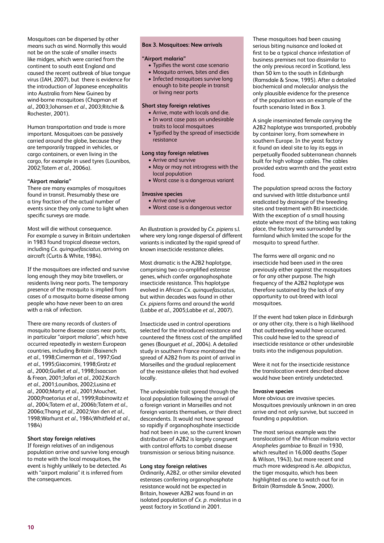Mosquitoes can be dispersed by other means such as wind. Normally this would not be on the scale of smaller insects like midges, which were carried from the continent to south east England and caused the recent outbreak of blue tongue virus (IAH, 2007), but there is evidence for the introduction of Japanese encephalitis into Australia from New Guinea by wind-borne mosquitoes (Chapman *et al*., 2003;Johansen *et al*., 2003;Ritchie & Rochester, 2001).

Human transportation and trade is more important. Mosquitoes can be passively carried around the globe, because they are temporarily trapped in vehicles, or cargo containers, or even living in the cargo, for example in used tyres (Lounibos, 2002;Tatem *et al*., 2006a).

#### **"Airport malaria"**

There are many examples of mosquitoes found in transit. Presumably these are a tiny fraction of the actual number of events since they only come to light when specific surveys are made.

Most will die without consequence. For example a survey in Britain undertaken in 1983 found tropical disease vectors, including *Cx. quinquefasciatus*, arriving on aircraft (Curtis & White, 1984).

If the mosquitoes are infected and survive long enough they may bite travellers, or residents living near ports. The temporary presence of the mosquito is implied from cases of a mosquito borne disease among people who have never been to an area with a risk of infection.

There are many records of clusters of mosquito borne disease cases near ports, in particular "airport malaria", which have occurred repeatedly in western European countries, including Britain (Baixench *et al*., 1998;Cimerman *et al*., 1997;Gad *et al*., 1995;Giacomini, 1998;Gratz *et al*., 2000;Guillet *et al*., 1998;Isaacson & Frean, 2001;Jafari *et al*., 2002;Karch *et al*., 2001;Lounibos, 2002;Lusina *et al*., 2000;Marty *et al*., 2001;Mouchet, 2000;Praetorius *et al*., 1999;Rabinowitz *et al*., 2004;Tatem *et al*., 2006b;Tatem *et al*., 2006a;Thang *et al*., 2002;Van den *et al*., 1998;Warhurst *et al*., 1984;Whitfield *et al*., 1984)

#### **Short stay foreign relatives**

If foreign relatives of an indigenous population arrive and survive long enough to mate with the local mosquitoes, the event is highly unlikely to be detected. As with "airport malaria" it is inferred from the consequences.

#### **Box 3. Mosquitoes: New arrivals**

#### **"Airport malaria"**

- Typifies the worst case scenario
- Mosquito arrives, bites and dies
- Infected mosquitoes survive long enough to bite people in transit or living near ports

#### **Short stay foreign relatives**

- Arrive, mate with locals and die.
- In worst case pass on undesirable traits to local mosquitoes
- Typified by the spread of insecticide resistance

#### **Long stay foreign relatives**

- Arrive and survive
- May or may not introgress with the local population
- Worst case is a dangerous variant

#### **Invasive species**

- Arrive and survive
- Worst case is a dangerous vector

An illustration is provided by *Cx. pipiens* s.l. where very long range dispersal of different variants is indicated by the rapid spread of known insecticide resistance alleles.

Most dramatic is the A2B2 haplotype, comprising two co-amplified esterase genes, which confer organophosphate insecticide resistance. This haplotype evolved in African *Cx. quinquefasciatus*, but within decades was found in other *Cx. pipiens* forms and around the world (Labbe *et al*., 2005;Labbe *et al*., 2007).

Insecticide used in control operations selected for the introduced resistance and countered the fitness cost of the amplified genes (Bourguet *et al*., 2004). A detailed study in southern France monitored the spread of A2B2 from its point of arrival in Marseilles and the gradual replacement of the resistance alleles that had evolved locally.

The undesirable trait spread through the local population following the arrival of a foreign variant in Marseilles and not foreign variants themselves, or their direct descendents. It would not have spread so rapidly if organophosphate insecticide had not been in use, so the current known distribution of A2B2 is largely congruent with control efforts to combat disease transmission or serious biting nuisance.

#### **Long stay foreign relatives**

Ordinarily, A2B2, or other similar elevated esterases conferring organophosphate resistance would not be expected in Britain, however A2B2 was found in an isolated population of *Cx. p. molestus* in a yeast factory in Scotland in 2001.

These mosquitoes had been causing serious biting nuisance and looked at first to be a typical chance infestation of business premises not too dissimilar to the only previous record in Scotland, less than 50 km to the south in Edinburgh (Ramsdale & Snow, 1995). After a detailed biochemical and molecular analysis the only plausible evidence for the presence of the population was an example of the fourth scenario listed in Box 3.

A single inseminated female carrying the A2B2 haplotype was transported, probably by container lorry, from somewhere in southern Europe. In the yeast factory it found an ideal site to lay its eggs in perpetually flooded subterranean channels built for high voltage cables. The cables provided extra warmth and the yeast extra food.

The population spread across the factory and survived with little disturbance until eradicated by drainage of the breeding sites and treatment with Bti insecticide. With the exception of a small housing estate where most of the biting was taking place, the factory was surrounded by farmland which limited the scope for the mosquito to spread further.

The farms were all organic and no insecticide had been used in the area previously either against the mosquitoes or for any other purpose. The high frequency of the A2B2 haplotype was therefore sustained by the lack of any opportunity to out-breed with local mosquitoes.

If the event had taken place in Edinburgh or any other city, there is a high likelihood that outbreeding would have occurred. This could have led to the spread of insecticide resistance or other undesirable traits into the indigenous population.

Were it not for the insecticide resistance the translocation event described above would have been entirely undetected.

#### **Invasive species**

More obvious are invasive species. Mosquitoes previously unknown in an area arrive and not only survive, but succeed in founding a population.

The most serious example was the translocation of the African malaria vector *Anopheles gambiae* to Brazil in 1930, which resulted in 16,000 deaths (Soper & Wilson, 1943), but more recent and much more widespread is *Ae. albopictus*, the tiger mosquito, which has been highlighted as one to watch out for in Britain (Ramsdale & Snow, 2000).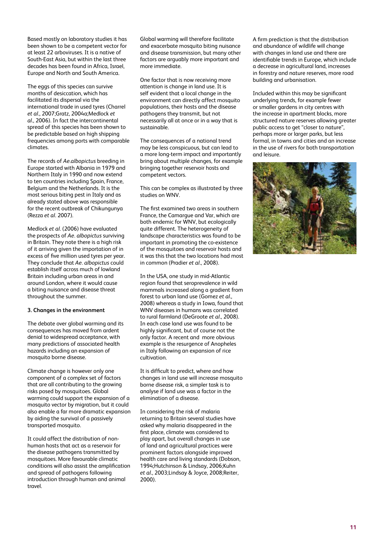Based mostly on laboratory studies it has been shown to be a competent vector for at least 22 arboviruses. It is a native of South-East Asia, but within the last three decades has been found in Africa, Israel, Europe and North and South America.

The eggs of this species can survive months of desiccation, which has facilitated its dispersal via the international trade in used tyres (Charrel *et al*., 2007;Gratz, 2004a;Medlock *et al*., 2006). In fact the intercontinental spread of this species has been shown to be predictable based on high shipping frequencies among ports with comparable climates.

The records of *Ae.albopictus* breeding in Europe started with Albania in 1979 and Northern Italy in 1990 and now extend to ten countries including Spain, France, Belgium and the Netherlands. It is the most serious biting pest in Italy and as already stated above was responsible for the recent outbreak of Chikungunya (Rezza *et al*. 2007).

Medlock *et al*. (2006) have evaluated the prospects of *Ae. albopictus* surviving in Britain. They note there is a high risk of it arriving given the importation of in excess of five million used tyres per year. They conclude that *Ae. albopictus* could establish itself across much of lowland Britain including urban areas in and around London, where it would cause a biting nuisance and disease threat throughout the summer.

#### **3. Changes in the environment**

The debate over global warming and its consequences has moved from ardent denial to widespread acceptance, with many predictions of associated health hazards including an expansion of mosquito borne disease.

Climate change is however only one component of a complex set of factors that are all contributing to the growing risks posed by mosquitoes. Global warming could support the expansion of a mosquito vector by migration, but it could also enable a far more dramatic expansion by aiding the survival of a passively transported mosquito.

It could affect the distribution of nonhuman hosts that act as a reservoir for the disease pathogens transmitted by mosquitoes. More favourable climatic conditions will also assist the amplification and spread of pathogens following introduction through human and animal travel.

Global warming will therefore facilitate and exacerbate mosquito biting nuisance and disease transmission, but many other factors are arguably more important and more immediate.

One factor that is now receiving more attention is change in land use. It is self evident that a local change in the environment can directly affect mosquito populations, their hosts and the disease pathogens they transmit, but not necessarily all at once or in a way that is sustainable.

The consequences of a national trend may be less conspicuous, but can lead to a more long-term impact and importantly bring about multiple changes, for example bringing together reservoir hosts and competent vectors.

This can be complex as illustrated by three studies on WNV.

The first examined two areas in southern France, the Camargue and Var, which are both endemic for WNV, but ecologically quite different. The heterogeneity of landscape characteristics was found to be important in promoting the co-existence of the mosquitoes and reservoir hosts and it was this that the two locations had most in common (Pradier *et al*., 2008).

In the USA, one study in mid-Atlantic region found that seroprevalence in wild mammals increased along a gradient from forest to urban land use (Gomez *et al*., 2008) whereas a study in Iowa, found that WNV diseases in humans was correlated to rural farmland (DeGroote *et al*., 2008). In each case land use was found to be highly significant, but of course not the only factor. A recent and more obvious example is the resurgence of Anopheles in Italy following an expansion of rice cultivation.

It is difficult to predict, where and how changes in land use will increase mosquito borne disease risk, a simpler task is to analyse if land use was a factor in the elimination of a disease.

In considering the risk of malaria returning to Britain several studies have asked why malaria disappeared in the first place, climate was considered to play apart, but overall changes in use of land and agricultural practices were prominent factors alongside improved health care and living standards (Dobson, 1994;Hutchinson & Lindsay, 2006;Kuhn *et al*., 2003;Lindsay & Joyce, 2008;Reiter, 2000).

A firm prediction is that the distribution and abundance of wildlife will change with changes in land use and there are identifiable trends in Europe, which include a decrease in agricultural land, increases in forestry and nature reserves, more road building and urbanisation.

Included within this may be significant underlying trends, for example fewer or smaller gardens in city centres with the increase in apartment blocks, more structured nature reserves allowing greater public access to get "closer to nature", perhaps more or larger parks, but less formal, in towns and cities and an increase in the use of rivers for both transportation and leisure.

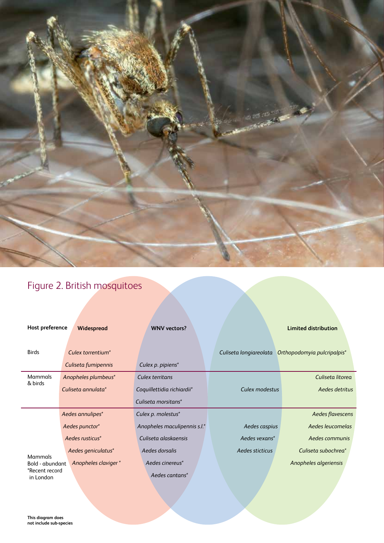

### Figure 2. British mosquitoes

| Host preference                   | Widespread          | <b>WNV</b> vectors?          |                        | Limited distribution        |
|-----------------------------------|---------------------|------------------------------|------------------------|-----------------------------|
| <b>Birds</b>                      | Culex torrentium*   |                              | Culiseta longiareolata | Orthopodomyia pulcripalpis* |
|                                   | Culiseta fumipennis | Culex p. pipiens*            |                        |                             |
| Mammals<br>& birds                | Anopheles plumbeus* | Culex territans              |                        | Culiseta litorea            |
|                                   | Culiseta annulata*  | Coquillettidia richiardii*   | Culex modestus         | Aedes detritus              |
|                                   |                     | Culiseta morsitans*          |                        |                             |
|                                   | Aedes annulipes*    | Culex p. molestus*           |                        | Aedes flavescens            |
|                                   | Aedes punctor*      | Anopheles maculipennis s.l.* | Aedes caspius          | Aedes leucomelas            |
|                                   | Aedes rusticus*     | Culiseta alaskaensis         | Aedes vexans*          | Aedes communis              |
|                                   | Aedes geniculatus*  | Aedes dorsalis               | Aedes sticticus        | Culiseta subochrea*         |
| <b>Mammals</b><br>Bold - abundant | Anopheles claviger* | Aedes cinereus*              |                        | Anopheles algeriensis       |
| *Recent record<br>in London       |                     | Aedes cantans*               |                        |                             |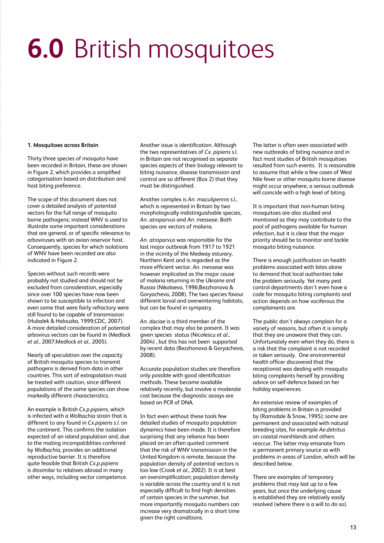# **6.0** British mosquitoes

#### **1. Mosquitoes across Britain**

Thirty three species of mosquito have been recorded in Britain, these are shown in Figure 2, which provides a simplified categorisation based on distribution and host biting preference.

The scope of this document does not cover a detailed analysis of potential vectors for the full range of mosquito borne pathogens; instead WNV is used to illustrate some important considerations that are general, or of specific relevance to arboviruses with an avian reservoir host. Consequently, species for which isolations of WNV have been recorded are also indicated in Figure 2.

Species without such records were probably not studied and should not be excluded from consideration, especially since over 100 species have now been shown to be susceptible to infection and even some that were fairly refractory were still found to be capable of transmission (Hubalek & Halouzka, 1999;CDC, 2007). A more detailed consideration of potential arbovirus vectors can be found in (Medlock *et al*., 2007;Medlock *et al*., 2005).

Nearly all speculation over the capacity of British mosquito species to transmit pathogens is derived from data in other countries. This sort of extrapolation must be treated with caution, since different populations of the same species can show markedly different characteristics.

An example is British *Cx.p.pipiens*, which is infected with a *Wolbachia* strain that is different to any found in *Cx.pipiens s.l.* on the continent. This confirms the isolation expected of an island population and, due to the mating incompatiblities conferred by *Wolbachia*, provides an additional reproductive barrier. It is therefore quite feasible that British *Cx.p.pipiens* is dissimilar to relatives abroad in many other ways, including vector competence.

Another issue is identification. Although the two representatives of *Cx. pipiens* s.l. in Britain are not recognised as separate species aspects of their biology relevant to biting nuisance, disease transmission and control are so different (Box 2) that they must be distinguished.

Another complex is *An. maculipennis* s.l., which is represented in Britain by two morphologically indistinguishable species, *An. atroparvus* and *An. messeae*. Both species are vectors of malaria.

*An. atroparvus* was responsible for the last major outbreak from 1917 to 1921 in the vicinity of the Medway esturary, Northern Kent and is regarded as the more efficient vector. *An. messeae* was however implicated as the major cause of malaria returning in the Ukraine and Russia (Nikolaeva, 1996;Bezzhonova & Goryacheva, 2008). The two species favour different larval and overwintering habitats, but can be found in sympatry.

*An. daciae* is a third member of the complex that may also be present. It was given species status (Nicolescu *et al*., 2004) , but this has not been supported by recent data (Bezzhonova & Goryacheva, 2008).

Accurate population studies are therefore only possible with good identification methods. These became available relatively recently, but involve a moderate cost because the diagnostic assays are based on PCR of DNA.

In fact even without these tools few detailed studies of mosquito population dynamics have been made. It is therefore surprising that any reliance has been placed on an often quoted comment that the risk of WNV transmission in the United Kingdom is remote, because the population density of potential vectors is too low (Crook *et al*., 2002). It is at best an oversimplification; population density is variable across the country and it is not especially difficult to find high densities of certain species in the summer, but more importantly mosquito numbers can increase very dramatically in a short time given the right conditions.

The latter is often seen associated with new outbreaks of biting nuisance and in fact most studies of British mosquitoes resulted from such events. It is reasonable to assume that while a few cases of West Nile fever or other mosquito borne disease might occur anywhere, a serious outbreak will coincide with a high level of biting.

It is important that non-human biting mosquitoes are also studied and monitored as they may contribute to the pool of pathogens available for human infection, but it is clear that the major priority should be to monitor and tackle mosquito biting nuisance.

There is enough justification on health problems associated with bites alone to demand that local authorities take the problem seriously. Yet many pest control departments don't even have a code for mosquito biting complaints and action depends on how vociferous the complainants are.

The public don't always complain for a variety of reasons, but often it is simply that they are unaware that they can. Unfortunately even when they do, there is a risk that the complaint is not recorded or taken seriously. One environmental health officer discovered that the receptionist was dealing with mosquito biting complaints herself by providing advice on self-defence based on her holiday experiences.

An extensive review of examples of biting problems in Britain is provided by (Ramsdale & Snow, 1995); some are permanent and associated with natural breeding sites, for example *Ae.detritus* on coastal marshlands and others reoccur. The latter may emanate from a permanent primary source as with problems in areas of London, which will be described below.

There are examples of temporary problems that may last up to a few years, but once the underlying cause is established they are relatively easily resolved (where there is a will to do so).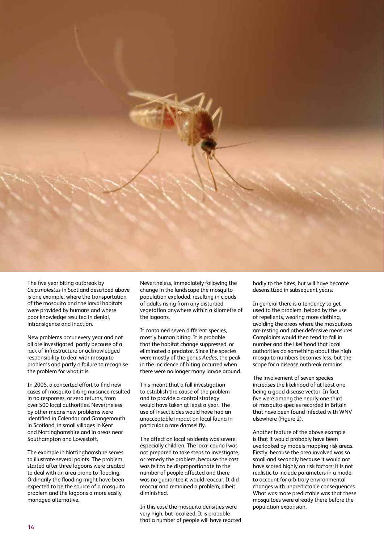

The five year biting outbreak by *Cx.p.molestus* in Scotland described above is one example, where the transportation of the mosquito and the larval habitats were provided by humans and where poor knowledge resulted in denial, intransigence and inaction.

New problems occur every year and not all are investigated, partly because of a lack of infrastructure or acknowledged responsibility to deal with mosquito problems and partly a failure to recognise the problem for what it is.

In 2005, a concerted effort to find new cases of mosquito biting nuisance resulted in no responses, or zero returns, from over 500 local authorities. Nevertheless by other means new problems were identified in Calendar and Grangemouth in Scotland, in small villages in Kent and Nottinghamshire and in areas near Southampton and Lowestoft.

The example in Nottinghamshire serves to illustrate several points. The problem started after three lagoons were created to deal with an area prone to flooding. Ordinarily the flooding might have been expected to be the source of a mosquito problem and the lagoons a more easily managed alternative.

Nevertheless, immediately following the change in the landscape the mosquito population exploded, resulting in clouds of adults rising from any disturbed vegetation anywhere within a kilometre of the lagoons.

It contained seven different species, mostly human biting. It is probable that the habitat change suppressed, or eliminated a predator. Since the species were mostly of the genus *Aedes*, the peak in the incidence of biting occurred when there were no longer many larvae around.

This meant that a full investigation to establish the cause of the problem and to provide a control strategy would have taken at least a year. The use of insecticides would have had an unacceptable impact on local fauna in particular a rare damsel fly.

The affect on local residents was severe, especially children. The local council was not prepared to take steps to investigate, or remedy the problem, because the cost was felt to be disproportionate to the number of people affected and there was no guarantee it would reoccur. It did reoccur and remained a problem, albeit diminished.

In this case the mosquito densities were very high, but localized. It is probable that a number of people will have reacted badly to the bites, but will have become desensitized in subsequent years.

In general there is a tendency to get used to the problem, helped by the use of repellents, wearing more clothing, avoiding the areas where the mosquitoes are resting and other defensive measures. Complaints would then tend to fall in number and the likelihood that local authorities do something about the high mosquito numbers becomes less, but the scope for a disease outbreak remains.

The involvement of seven species increases the likelihood of at least one being a good disease vector. In fact five were among the nearly one third of mosquito species recorded in Britain that have been found infected with WNV elsewhere (Figure 2).

Another feature of the above example is that it would probably have been overlooked by models mapping risk areas. Firstly, because the area involved was so small and secondly because it would not have scored highly on risk factors; it is not realistic to include parameters in a model to account for arbitrary environmental changes with unpredictable consequences. What was more predictable was that these mosquitoes were already there before the population expansion.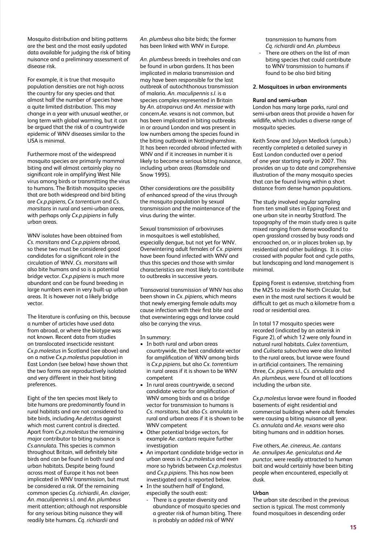Mosquito distribution and biting patterns are the best and the most easily updated data available for judging the risk of biting nuisance and a preliminary assessment of disease risk.

For example, it is true that mosquito population densities are not high across the country for any species and that almost half the number of species have a quite limited distribution. This may change in a year with unusual weather, or long term with global warming, but it can be argued that the risk of a countrywide epidemic of WNV diseases similar to the USA is minimal.

Furthermore most of the widespread mosquito species are primarily mammal biting and will almost certainly play no significant role in amplifying West Nile virus among birds or transmitting the virus to humans. The British mosquito species that are both widespread and bird biting are *Cx.p.pipiens*, *Cx torrentium* and *Cs. morsitans* in rural and semi-urban areas, with perhaps only *Cx.p.pipiens* in fully urban areas.

WNV isolates have been obtained from *Cs. morsitans* and *Cx.p.pipiens* abroad, so these two must be considered good candidates for a significant role in the circulation of WNV. *Cs. morsitans* will also bite humans and so is a potential bridge vector. *Cx.p.pipiens* is much more abundant and can be found breeding in large numbers even in very built-up urban areas. It is however not a likely bridge vector.

The literature is confusing on this, because a number of articles have used data from abroad, or where the biotype was not known. Recent data from studies on translocated insecticide resistant *Cx.p.molestus* in Scotland (see above) and on a native *Cx.p.molestus* population in East London (see below) have shown that the two forms are reproductively isolated and very different in their host biting preferences.

Eight of the ten species most likely to bite humans are predominantly found in rural habitats and are not considered to bite birds, including *Ae.detritus* against which most current control is directed. Apart from *Cx.p.molestus* the remaining major contributor to biting nuisance is *Cs.annulata*. This species is common throughout Britain, will definitely bite birds and can be found in both rural and urban habitats. Despite being found across most of Europe it has not been implicated in WNV transmission, but must be considered a risk. Of the remaining common species *Cq. richiardii*, *An. claviger*, *An. maculipennis* s.l. and *An. plumbeus* merit attention; although not responsible for any serious biting nuisance they will readily bite humans. *Cq. richiardii* and

*An. plumbeus* also bite birds; the former has been linked with WNV in Europe.

*An. plumbeus* breeds in treeholes and can be found in urban gardens. It has been implicated in malaria transmission and may have been responsible for the last outbreak of autochthonous transmission of malaria. *An. maculipennis s.l.* is a species complex represented in Britain by *An. atroparvus* and *An. messiae* with concern.*Ae. vexans* is not common, but has been implicated in biting outbreaks in or around London and was present in low numbers among the species found in the biting outbreak in Nottinghamshire. It has been recorded abroad infected with WNV and if it increases in number it is likely to become a serious biting nuisance, including urban areas (Ramsdale and  $S_{\text{now}}$  1995).

Other considerations are the possibility of enhanced spread of the virus through the mosquito population by sexual transmission and the maintenance of the virus during the winter.

Sexual transmission of arboviruses in mosquitoes is well established, especially dengue, but not yet for WNV. Overwintering adult females of *Cx. pipiens* have been found infected with WNV and thus this species and those with similar characteristics are most likely to contribute to outbreaks in successive years.

Transovarial transmission of WNV has also been shown in *Cx. pipiens*, which means that newly emerging female adults may cause infection with their first bite and that overwintering eggs and larvae could also be carrying the virus.

In summary:

- In both rural and urban areas countrywide, the best candidate vector for amplification of WNV among birds is *Cx.p.pipiens*, but also *Cx. torrentium* in rural areas if it is shown to be WNV competent
- In rural areas countrywide, a second candidate vector for amplification of WNV among birds and as a bridge vector for transmission to humans is *Cs. morsitans*, but also *Cs. annulata* in rural and urban areas if it is shown to be WNV competent
- Other potential bridge vectors, for example *Ae. cantans* require further investigation
- An important candidate bridge vector in urban areas is *Cx.p.molestus* and even more so hybrids between *Cx.p.molestus* and *Cx.p.pipiens*. This has now been investigated and is reported below.
- In the southern half of England, especially the south east:
	- There is a greater diversity and abundance of mosquito species and a greater risk of human biting. There is probably an added risk of WNV

transmission to humans from *Cq. richiardii* and *An. plumbeus*

There are others on the list of man biting species that could contribute to WNV transmission to humans if found to be also bird biting

#### **2. Mosquitoes in urban environments**

#### **Rural and semi-urban**

London has many large parks, rural and semi-urban areas that provide a haven for wildlife, which includes a diverse range of mosquito species.

Keith Snow and Jolyon Medlock (unpub.) recently completed a detailed survey in East London conducted over a period of one year starting early in 2007. This provides an up to date and comprehensive illustration of the many mosquito species that can be found living within a short distance from dense human populations.

The study involved regular sampling from ten small sites in Epping Forest and one urban site in nearby Stratford. The topography of the main study area is quite mixed ranging from dense woodland to open grassland crossed by busy roads and encroached on, or in places broken up, by residential and other buildings. It is crisscrossed with popular foot and cycle paths, but landscaping and land management is minimal.

Epping Forest is extensive, stretching from the M25 to inside the North Circular, but even in the most rural sections it would be difficult to get as much a kilometre from a road or residential area.

In total 17 mosquito species were recorded (indicated by an asterisk in Figure 2), of which 12 were only found in natural rural habitats. *Culex torrentium*, and *Culiseta subochrea* were also limited to the rural areas, but larvae were found in artificial containers. The remaining three, *Cx. pipiens* s.l., *Cs. annulata* and *An. plumbeus*, were found at all locations including the urban site.

*Cx.p.molestus* larvae were found in flooded basements of eight residential and commercial buildings where adult females were causing a biting nuisance all year. *Cs. annulata* and *Ae. vexans* were also biting humans and in addition horses.

Five others, *Ae. cinereus, Ae. cantans Ae. annulipes Ae. geniculatus* and *Ae punctor*, were readily attracted to human bait and would certainly have been biting people when encountered, especially at dusk.

#### **Urban**

The urban site described in the previous section is typical. The most commonly found mosquitoes in descending order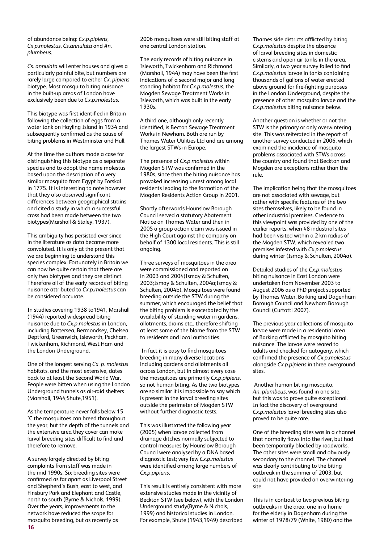of abundance being: *Cx.p.pipiens*, *Cx.p.molestus*, *Cs.annulata* and *An. plumbeus*.

*Cs. annulata* will enter houses and gives a particularly painful bite, but numbers are rarely large compared to either *Cx. pipiens* biotype. Most mosquito biting nuisance in the built-up areas of London have exclusively been due to *Cx.p.molestus*.

This biotype was first identified in Britain following the collection of eggs from a water tank on Hayling Island in 1934 and subsequently confirmed as the cause of biting problems in Westminster and Hull.

At the time the authors made a case for distinguishing this biotype as a separate species and to adopt the name molestus based upon the description of a very similar mosquito from Egypt by Forskal in 1775. It is interesting to note however that they also observed significant differences between geographical strains and cited a study in which a successful cross had been made between the two biotypes(Marshall & Staley, 1937).

This ambiguity has persisted ever since in the literature as data became more convoluted. It is only at the present that we are beginning to understand this species complex. Fortunately in Britain we can now be quite certain that there are only two biotypes and they are distinct. Therefore all of the early records of biting nuisance attributed to *Cx.p.molestus* can be considered accurate.

In studies covering 1938 to1941, Marshall (1944) reported widespread biting nuisance due to *Cx.p.molestus* in London, including Battersea, Bermondsey, Chelsea, Deptford, Greenwich, Isleworth, Peckham, Twickenham, Richmond, West Ham and the London Underground.

One of the longest serving *Cx. p. molestus* habitats, and the most extensive, dates back to at least the Second World War. People were bitten when using the London Underground tunnels as air-raid shelters (Marshall, 1944;Shute,1951).

As the temperature never falls below 15 °C the mosquitoes can breed throughout the year, but the depth of the tunnels and the extensive area they cover can make larval breeding sites difficult to find and therefore to remove.

**16** A survey largely directed by biting complaints from staff was made in the mid 1990s. Six breeding sites were confirmed as far apart as Liverpool Street and Shepherd's Bush, east to west, and Finsbury Park and Elephant and Castle, north to south (Byrne & Nichols, 1999). Over the years, improvements to the network have reduced the scope for mosquito breeding, but as recently as

2006 mosquitoes were still biting staff at one central London station.

The early records of biting nuisance in Isleworth, Twickenham and Richmond (Marshall, 1944) may have been the first indications of a second major and long standing habitat for *Cx.p.molestus*, the Mogden Sewage Treatment Works in Isleworth, which was built in the early 1930s.

A third one, although only recently identified, is Becton Sewage Treatment Works in Newham. Both are run by Thames Water Utilities Ltd and are among the largest STWs in Europe.

The presence of *Cx.p.molestus* within Mogden STW was confirmed in the 1980s, since then the biting nuisance has provoked increasing unrest among local residents leading to the formation of the Mogden Residents Action Group in 2001.

Shortly afterwards Hounslow Borough Council served a statutory Abatement Notice on Thames Water and then in 2005 a group action claim was issued in the High Court against the company on behalf of 1300 local residents. This is still ongoing.

Three surveys of mosquitoes in the area were commissioned and reported on in 2003 and 2004(Ismay & Schulten, 2003;Ismay & Schulten, 2004a;Ismay & Schulten, 2004b). Mosquitoes were found breeding outside the STW during the summer, which encouraged the belief that the biting problem is exacerbated by the availability of standing water in gardens, allotments, drains etc., therefore shifting at least some of the blame from the STW to residents and local authorities.

 In fact it is easy to find mosquitoes breeding in many diverse locations including gardens and allotments all across London, but in almost every case the mosquitoes are primarily *Cx.p.pipiens*, so not human biting. As the two biotypes are so similar it is impossible to say which is present in the larval breeding sites outside the perimeter of Mogden STW without further diagnostic tests.

This was illustrated the following year (2005) when larvae collected from drainage ditches normally subjected to control measures by Hounslow Borough Council were analysed by a DNA based diagnostic test; very few *Cx.p.molestus* were identified among large numbers of *Cx.p.pipiens*.

This result is entirely consistent with more extensive studies made in the vicinity of Beckton STW (see below), with the London Underground study(Byrne & Nichols, 1999) and historical studies in London. For example, Shute (1943,1949) described

Thames side districts afflicted by biting *Cx.p.molestus* despite the absence of larval breeding sites in domestic cisterns and open air tanks in the area. Similarly, a two year survey failed to find *Cx.p.molestus* larvae in tanks containing thousands of gallons of water erected above ground for fire-fighting purposes in the London Underground, despite the presence of other mosquito larvae and the *Cx.p.molestus* biting nuisance below.

Another question is whether or not the STW is the primary or only overwintering site. This was reiterated in the report of another survey conducted in 2006, which examined the incidence of mosquito problems associated with STWs across the country and found that Beckton and Mogden are exceptions rather than the rule.

The implication being that the mosquitoes are not associated with sewage, but rather with specific features of the two sites themselves, likely to be found in other industrial premises. Credence to this viewpoint was provided by one of the earlier reports, when 48 industrial sites had been visited within a 2 km radius of the Mogden STW, which revealed two premises infested with *Cx.p.molestus* during winter (Ismay & Schulten, 2004a).

Detailed studies of the *Cx.p.molestus* biting nuisance in East London were undertaken from November 2003 to August 2006 as a PhD project supported by Thames Water, Barking and Dagenham Borough Council and Newham Borough Council (Curtotti 2007).

The previous year collections of mosquito larvae were made in a residential area of Barking afflicted by mosquito biting nuisance. The larvae were reared to adults and checked for autogeny, which confirmed the presence of *Cx.p.molestus* alongside *Cx.p.pipiens* in three overground sites.

 Another human biting mosquito, *An. plumbeus*, was found in one site, but this was to prove quite exceptional. In fact the discovery of overground *Cx.p.molestus* larval breeding sites also proved to be quite rare.

One of the breeding sites was in a channel that normally flows into the river, but had been temporarily blocked by roadworks. The other sites were small and obviously secondary to the channel. The channel was clearly contributing to the biting outbreak in the summer of 2003, but could not have provided an overwintering site.

This is in contrast to two previous biting outbreaks in the area: one in a home for the elderly in Dagenham during the winter of 1978/79 (White, 1980) and the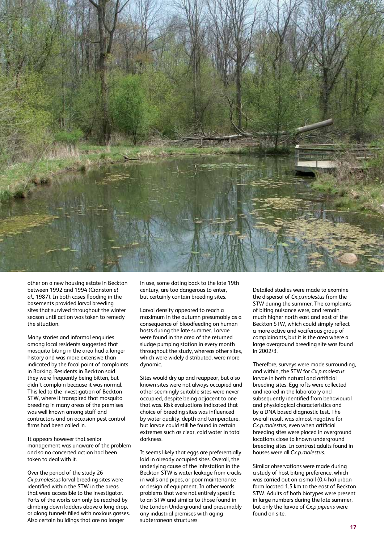

other on a new housing estate in Beckton between 1992 and 1994 (Cranston *et al*., 1987). In both cases flooding in the basements provided larval breeding sites that survived throughout the winter season until action was taken to remedy the situation.

Many stories and informal enquiries among local residents suggested that mosquito biting in the area had a longer history and was more extensive than indicated by the focal point of complaints in Barking. Residents in Beckton said they were frequently being bitten, but didn't complain because it was normal. This led to the investigation of Beckton STW, where it transpired that mosquito breeding in many areas of the premises was well known among staff and contractors and on occasion pest control firms had been called in.

It appears however that senior management was unaware of the problem and so no concerted action had been taken to deal with it.

Over the period of the study 26 *Cx.p.molestus* larval breeding sites were identified within the STW in the areas that were accessible to the investigator. Parts of the works can only be reached by climbing down ladders above a long drop, or along tunnels filled with noxious gasses. Also certain buildings that are no longer

in use, some dating back to the late 19th century, are too dangerous to enter, but certainly contain breeding sites.

Larval density appeared to reach a maximum in the autumn presumably as a consequence of bloodfeeding on human hosts during the late summer. Larvae were found in the area of the returned sludge pumping station in every month throughout the study, whereas other sites, which were widely distributed, were more dynamic.

Sites would dry up and reappear, but also known sites were not always occupied and other seemingly suitable sites were never occupied, despite being adjacent to one that was. Risk evaluations indicated that choice of breeding sites was influenced by water quality, depth and temperature, but larvae could still be found in certain extremes such as clear, cold water in total darkness.

It seems likely that eggs are preferentially laid in already occupied sites. Overall, the underlying cause of the infestation in the Beckton STW is water leakage from cracks in walls and pipes, or poor maintenance or design of equipment. In other words problems that were not entirely specific to an STW and similar to those found in the London Underground and presumably any industrial premises with aging subterranean structures.

Detailed studies were made to examine the dispersal of *Cx.p.molestus* from the STW during the summer. The complaints of biting nuisance were, and remain, much higher north east and east of the Beckton STW, which could simply reflect a more active and vociferous group of complainants, but it is the area where a large overground breeding site was found in 2002/3.

Therefore, surveys were made surrounding, and within, the STW for *Cx.p.molestus* larvae in both natural and artificial breeding sites. Egg rafts were collected and reared in the laboratory and subsequently identified from behavioural and physiological characteristics and by a DNA based diagnostic test. The overall result was almost negative for *Cx.p.molestus*, even when artificial breeding sites were placed in overground locations close to known underground breeding sites. In contrast adults found in houses were all *Cx.p.molestus*.

Similar observations were made during a study of host biting preference, which was carried out on a small (0.4 ha) urban farm located 1.5 km to the east of Beckton STW. Adults of both biotypes were present in large numbers during the late summer, but only the larvae of *Cx.p.pipiens* were found on site.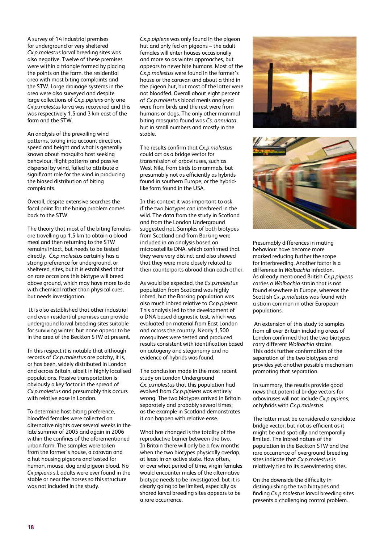A survey of 14 industrial premises for underground or very sheltered *Cx.p.molestus* larval breeding sites was also negative. Twelve of these premises were within a triangle formed by placing the points on the farm, the residential area with most biting complaints and the STW. Large drainage systems in the area were also surveyed and despite large collections of *Cx.p.pipiens* only one *Cx.p.molestus* larva was recovered and this was respectively 1.5 and 3 km east of the farm and the STW.

An analysis of the prevailing wind patterns, taking into account direction, speed and height and what is generally known about mosquito host seeking behaviour, flight patterns and passive dispersal by wind, failed to attribute a significant role for the wind in producing the biased distribution of biting complaints.

Overall, despite extensive searches the focal point for the biting problem comes back to the STW.

The theory that most of the biting females are travelling up 1.5 km to obtain a blood meal and then returning to the STW remains intact, but needs to be tested directly. *Cx.p.molestus* certainly has a strong preference for underground, or sheltered, sites, but it is established that on rare occasions this biotype will breed above ground, which may have more to do with chemical rather than physical cues, but needs investigation.

 It is also established that other industrial and even residential premises can provide underground larval breeding sites suitable for surviving winter, but none appear to be in the area of the Beckton STW at present.

In this respect it is notable that although records of *Cx.p.molestus* are patchy, it is, or has been, widely distributed in London and across Britain, albeit in highly localised populations. Passive transportation is obviously a key factor in the spread of *Cx.p.molestus* and presumably this occurs with relative ease in London.

To determine host biting preference, bloodfed females were collected on alternative nights over several weeks in the late summer of 2005 and again in 2006 within the confines of the aforementioned urban farm. The samples were taken from the farmer's house, a caravan and a hut housing pigeons and tested for human, mouse, dog and pigeon blood. No *Cx.pipiens* s.l. adults were ever found in the stable or near the horses so this structure was not included in the study.

*Cx.p.pipiens* was only found in the pigeon hut and only fed on pigeons – the adult females will enter houses occasionally and more so as winter approaches, but appears to never bite humans. Most of the *Cx.p.molestus* were found in the farmer's house or the caravan and about a third in the pigeon hut, but most of the latter were not bloodfed. Overall about eight percent of *Cx.p.molestus* blood meals analysed were from birds and the rest were from humans or dogs. The only other mammal biting mosquito found was *Cs. annulata*, but in small numbers and mostly in the stable.

The results confirm that *Cx.p.molestus* could act as a bridge vector for transmission of arboviruses, such as West Nile, from birds to mammals, but presumably not as efficiently as hybrids found in southern Europe, or the hybridlike form found in the USA.

In this context it was important to ask if the two biotypes can interbreed in the wild. The data from the study in Scotland and from the London Underground suggested not. Samples of both biotypes from Scotland and from Barking were included in an analysis based on microsatellite DNA, which confirmed that they were very distinct and also showed that they were more closely related to their counterparts abroad than each other.

As would be expected, the *Cx.p.molestus* population from Scotland was highly inbred, but the Barking population was also much inbred relative to *Cx.p.pipiens*. This analysis led to the development of a DNA based diagnostic test, which was evaluated on material from East London and across the country. Nearly 1,500 mosquitoes were tested and produced results consistent with identification based on autogeny and steganomy and no evidence of hybrids was found.

The conclusion made in the most recent study on London Underground *Cx. p.molestus* that this population had evolved from *Cx.p.pipiens* was entirely wrong. The two biotypes arrived in Britain separately and probably several times; as the example in Scotland demonstrates it can happen with relative ease.

What has changed is the totality of the reproductive barrier between the two. In Britain there will only be a few months when the two biotypes physically overlap, at least in an active state. How often, or over what period of time, virgin females would encounter males of the alternative biotype needs to be investigated, but it is clearly going to be limited, especially as shared larval breeding sites appears to be a rare occurrence.





Presumably differences in mating behaviour have become more marked reducing further the scope for interbreeding. Another factor is a difference in *Wolbachia* infection. As already mentioned British *Cx.p.pipiens* carries a *Wolbachia* strain that is not found elsewhere in Europe, whereas the Scottish *Cx. p.molestus* was found with a strain common in other European populations.

 An extension of this study to samples from all over Britain including areas of London confirmed that the two biotypes carry different *Wolbachia* strains. This adds further confirmation of the separation of the two biotypes and provides yet another possible mechanism promoting that separation.

In summary, the results provide good news that potential bridge vectors for arboviruses will not include *Cx.p.pipiens*, or hybrids with *Cx.p.molestus*.

The latter must be considered a candidate bridge vector, but not as efficient as it might be and spatially and temporally limited. The inbred nature of the population in the Beckton STW and the rare occurrence of overground breeding sites indicate that *Cx.p.molestus* is relatively tied to its overwintering sites.

On the downside the difficulty in distinguishing the two biotypes and finding *Cx.p.molestus* larval breeding sites presents a challenging control problem.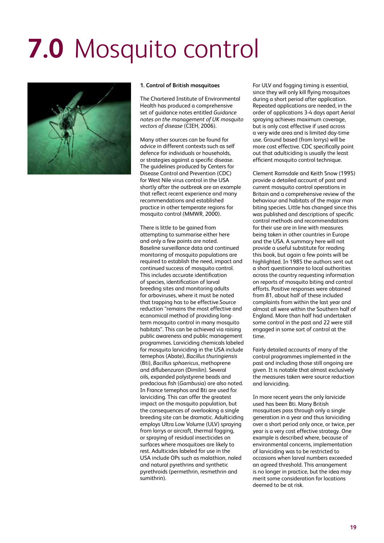## **7.0** Mosquito control



#### **1. Control of British mosquitoes**

The Chartered Institute of Environmental Health has produced a comprehensive set of guidance notes entitled *Guidance notes on the management of UK mosquito vectors of disease* (CIEH, 2006).

Many other sources can be found for advice in different contexts such as self defence for individuals or households, or strategies against a specific disease. The guidelines produced by Centers for Disease Control and Prevention (CDC) for West Nile virus control in the USA shortly after the outbreak are an example that reflect recent experience and many recommendations and established practice in other temperate regions for mosquito control (MMWR, 2000).

There is little to be gained from attempting to summarise either here and only a few points are noted. Baseline surveillance data and continued monitoring of mosquito populations are required to establish the need, impact and continued success of mosquito control. This includes accurate identification of species, identification of larval breeding sites and monitoring adults for arboviruses, where it must be noted that trapping has to be effective.Source reduction "remains the most effective and economical method of providing longterm mosquito control in many mosquito habitats". This can be achieved via raising public awareness and public management programmes. Larviciding chemicals labeled for mosquito larviciding in the USA include temephos (Abate), *Bacillus thuringiensis* (Bti), *Bacillus sphaericus*, methoprene and diflubenzuron (Dimilin). Several oils, expanded polystyrene beads and predacious fish (*Gambusia*) are also noted. In France temephos and Bti are used for larviciding. This can offer the greatest impact on the mosquito population, but the consequences of overlooking a single breeding site can be dramatic. Adulticiding employs Ultra Low Volume (ULV) spraying from lorrys or aircraft, thermal fogging, or spraying of residual insecticides on surfaces where mosquitoes are likely to rest. Adulticides labeled for use in the USA include OPs such as malathion, naled and natural pyrethrins and synthetic pyrethroids (permethrin, resmethrin and sumithrin).

For ULV and fogging timing is essential, since they will only kill flying mosquitoes during a short period after application. Repeated applications are needed, in the order of applications 3-4 days apart Aerial spraying achieves maximum coverage, but is only cost effective if used across a very wide area and is limited day-time use. Ground based (from lorrys) will be more cost effective. CDC specifically point out that adulticiding is usually the least efficient mosquito control technique.

Clement Ramsdale and Keith Snow (1995) provide a detailed account of past and current mosquito control operations in Britain and a comprehensive review of the behaviour and habitats of the major man biting species. Little has changed since this was published and descriptions of specific control methods and recommendations for their use are in line with measures being taken in other countries in Europe and the USA. A summary here will not provide a useful substitute for reading this book, but again a few points will be highlighted. In 1985 the authors sent out a short questionnaire to local authorities across the country requesting information on reports of mosquito biting and control efforts. Positive responses were obtained from 81, about half of these included complaints from within the last year and almost all were within the Southern half of England. More than half had undertaken some control in the past and 22 were still engaged in some sort of control at the time.

Fairly detailed accounts of many of the control programmes implemented in the past and including those still ongoing are given. It is notable that almost exclusively the measures taken were source reduction and larviciding.

In more recent years the only larvicide used has been Bti. Many British mosquitoes pass through only a single generation in a year and thus larviciding over a short period only once, or twice, per year is a very cost effective strategy. One example is described where, because of environmental concerns, implementation of larviciding was to be restricted to occasions when larval numbers exceeded an agreed threshold. This arrangement is no longer in practice, but the idea may merit some consideration for locations deemed to be at risk.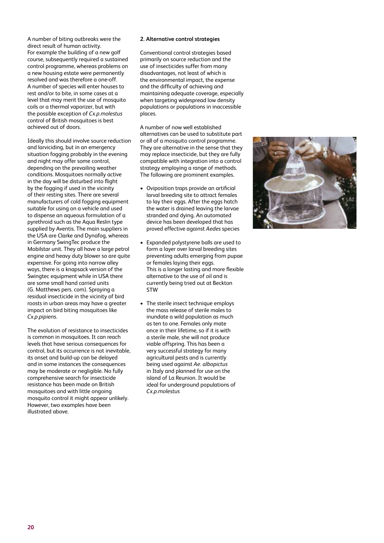A number of biting outbreaks were the direct result of human activity. For example the building of a new golf course, subsequently required a sustained control programme, whereas problems on a new housing estate were permanently resolved and was therefore a one-off. A number of species will enter houses to rest and/or to bite, in some cases at a level that may merit the use of mosquito coils or a thermal vaporizer, but with the possible exception of *Cx.p.molestus* control of British mosquitoes is best achieved out of doors.

Ideally this should involve source reduction and larviciding, but in an emergency situation fogging probably in the evening and night may offer some control, depending on the prevailing weather conditions. Mosquitoes normally active in the day will be disturbed into flight by the fogging if used in the vicinity of their resting sites. There are several manufacturers of cold fogging equipment suitable for using on a vehicle and used to dispense an aqueous formulation of a pyrethroid such as the Aqua Reslin type supplied by Aventis. The main suppliers in the USA are Clarke and Dynafog, whereas in Germany SwingTec produce the Mobilstar unit. They all have a large petrol engine and heavy duty blower so are quite expensive. For going into narrow alley ways, there is a knapsack version of the Swingtec equipment while in USA there are some small hand carried units (G. Matthews pers. com). Spraying a residual insecticide in the vicinity of bird roosts in urban areas may have a greater impact on bird biting mosquitoes like *Cx.p.pipiens*.

The evolution of resistance to insecticides is common in mosquitoes. It can reach levels that have serious consequences for control, but its occurrence is not inevitable, its onset and build-up can be delayed and in some instances the consequences may be moderate or negligible. No fully comprehensive search for insecticide resistance has been made on British mosquitoes and with little ongoing mosquito control it might appear unlikely. However, two examples have been illustrated above.

#### **2. Alternative control strategies**

Conventional control strategies based primarily on source reduction and the use of insecticides suffer from many disadvantages, not least of which is the environmental impact, the expense and the difficulty of achieving and maintaining adequate coverage, especially when targeting widespread low density populations or populations in inaccessible places.

A number of now well established alternatives can be used to substitute part or all of a mosquito control programme. They are alternative in the sense that they may replace insecticide, but they are fully compatible with integration into a control strategy employing a range of methods. The following are prominent examples.

- Oviposition traps provide an artificial larval breeding site to attract females to lay their eggs. After the eggs hatch the water is drained leaving the larvae stranded and dying. An automated device has been developed that has proved effective against *Aedes* species
- Expanded polystyrene balls are used to form a layer over larval breeding sites preventing adults emerging from pupae or females laying their eggs. This is a longer lasting and more flexible alternative to the use of oil and is currently being tried out at Beckton STW
- The sterile insect technique employs the mass release of sterile males to inundate a wild population as much as ten to one. Females only mate once in their lifetime, so if it is with a sterile male, she will not produce viable offspring. This has been a very successful strategy for many agricultural pests and is currently being used against *Ae. albopictus* in Italy and planned for use on the island of La Reunion. It would be ideal for underground populations of *Cx.p.molestus*

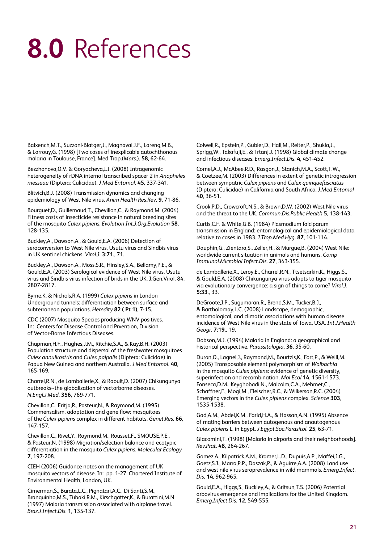### **8.0** References

Baixench,M.T., Suzzoni-Blatger,J., Magnaval,J.F., Lareng,M.B., & Larrouy,G. (1998) [Two cases of inexplicable autochthonous malaria in Toulouse, France]. Med Trop.(*Mars*.). **58**, 62-64.

Bezzhonova,O.V. & Goryacheva,I.I. (2008) Intragenomic heterogeneity of rDNA internal transcribed spacer 2 in *Anopheles messeae* (Diptera: Culicidae). *J Med Entomol*. **45**, 337-341.

Blitvich,B.J. (2008) Transmission dynamics and changing epidemiology of West Nile virus. *Anim Health Res.Rev*. **9**, 71-86.

Bourguet,D., Guillemaud,T., Chevillon,C., & Raymond,M. (2004) Fitness costs of insecticide resistance in natural breeding sites of the mosquito *Culex pipiens. Evolution Int.J.Org.Evolution* **58**, 128-135.

Buckley,A., Dawson,A., & Gould,E.A. (2006) Detection of seroconversion to West Nile virus, Usutu virus and Sindbis virus in UK sentinel chickens. *Virol.J*. **3:71**., 71.

Buckley,A., Dawson,A., Moss,S.R., Hinsley,S.A., Bellamy,P.E., & Gould,E.A. (2003) Serological evidence of West Nile virus, Usutu virus and Sindbis virus infection of birds in the UK. J.Gen.Virol. 84, 2807-2817.

Byrne,K. & Nichols,R.A. (1999) *Culex pipiens* in London Underground tunnels: differentiation between surface and subterranean populations. *Heredity* **82 ( Pt 1)**, 7-15.

CDC (2007) Mosquito Species producing WNV positives. In: Centers for Disease Control and Prvention, Division of Vector-Borne Infectious Diseases.

Chapman,H.F., Hughes,J.M., Ritchie,S.A., & Kay,B.H. (2003) Population structure and dispersal of the freshwater mosquitoes *Culex annulirostris* and *Culex palpalis* (Diptera: Culicidae) in Papua New Guinea and northern Australia. *J.Med Entomol*. **40**, 165-169.

Charrel,R.N., de Lamballerie,X., & Raoult,D. (2007) Chikungunya outbreaks--the globalization of vectorborne diseases. *N.Engl.J.Med*. **356**, 769-771.

Chevillon,C., Eritja,R., Pasteur,N., & Raymond,M. (1995) Commensalism, adaptation and gene flow: mosquitoes of the *Culex pipiens* complex in different habitats. *Genet.Res*. **66**, 147-157.

Chevillon,C., Rivet,Y., Raymond,M., Rousset,F., SMOUSE,P.E., & Pasteur,N. (1998) Migration/selection balance and ecotypic differentiation in the mosquito *Culex pipiens*. *Molecular Ecology* **7**, 197-208.

CIEH (2006) Guidance notes on the management of UK mosquito vectors of disease. In: pp. 1-27. Chartered Institute of Environmental Health, London, UK.

Cimerman,S., Barata,L.C., Pignatari,A.C., Di Santi,S.M., Branquinho,M.S., Tubaki,R.M., Kirschgatter,K., & Burattini,M.N. (1997) Malaria transmission associated with airplane travel. *Braz.J.Infect.Dis*. **1**, 135-137.

Colwell,R., Epstein,P., Gubler,D., Hall,M., Reiter,P., Shukla,J., Sprigg,W., Takafuji,E., & Trtanj,J. (1998) Global climate change and infectious diseases. *Emerg.Infect.Dis*. **4**, 451-452.

Cornel,A.J., McAbee,R.D., Rasgon,J., Stanich,M.A., Scott,T.W., & Coetzee,M. (2003) Differences in extent of genetic introgression between sympatric *Culex pipiens* and *Culex quinquefasciatus* (Diptera: Culicidae) in California and South Africa. *J.Med Entomol* **40**, 36-51.

Crook,P.D., Crowcroft,N.S., & Brown,D.W. (2002) West Nile virus and the threat to the UK. *Commun.Dis.Public Health* **5**, 138-143.

Curtis,C.F. & White,G.B. (1984) Plasmodium falciparum transmission in England: entomological and epidemiological data relative to cases in 1983. *J.Trop.Med.Hyg*. **87**, 101-114.

Dauphin,G., Zientara,S., Zeller,H., & Murgue,B. (2004) West Nile: worldwide current situation in animals and humans. *Comp Immunol.Microbiol.Infect.Dis*. **27**, 343-355.

de Lamballerie,X., Leroy,E., Charrel,R.N., Ttsetsarkin,K., Higgs,S., & Gould,E.A. (2008) Chikungunya virus adapts to tiger mosquito via evolutionary convergence: a sign of things to come? *Virol.J*. **5:33**., 33.

DeGroote,J.P., Sugumaran,R., Brend,S.M., Tucker,B.J., & Bartholomay,L.C. (2008) Landscape, demographic, entomological, and climatic associations with human disease incidence of West Nile virus in the state of Iowa, USA. *Int.J.Health Geogr*. **7:19**., 19.

Dobson,M.J. (1994) Malaria in England: a geographical and historical perspective. *Parassitologia*. **36**, 35-60.

Duron,O., Lagnel,J., Raymond,M., Bourtzis,K., Fort,P., & Weill,M. (2005) Transposable element polymorphism of *Wolbachia* in the mosquito *Culex pipiens*: evidence of genetic diversity, superinfection and recombination. *Mol Ecol* **14**, 1561-1573. Fonseca,D.M., Keyghobadi,N., Malcolm,C.A., Mehmet,C., Schaffner,F., Mogi,M., Fleischer,R.C., & Wilkerson,R.C. (2004) Emerging vectors in the *Culex pipiens* complex. *Science* **303**, 1535-1538.

Gad,A.M., Abdel,K.M., Farid,H.A., & Hassan,A.N. (1995) Absence of mating barriers between autogenous and anautogenous *Culex pipiens* L. in Egypt. *J.Egypt.Soc.Parasitol*. **25**, 63-71.

Giacomini,T. (1998) [Malaria in airports and their neighborhoods]. *Rev.Prat*. **48**, 264-267.

Gomez,A., Kilpatrick,A.M., Kramer,L.D., Dupuis,A.P., Maffei,J.G., Goetz,S.J., Marra,P.P., Daszak,P., & Aguirre,A.A. (2008) Land use and west nile virus seroprevalence in wild mammals. *Emerg.Infect. Dis*. **14**, 962-965.

Gould,E.A., Higgs,S., Buckley,A., & Gritsun,T.S. (2006) Potential arbovirus emergence and implications for the United Kingdom. *Emerg.Infect.Dis*. **12**, 549-555.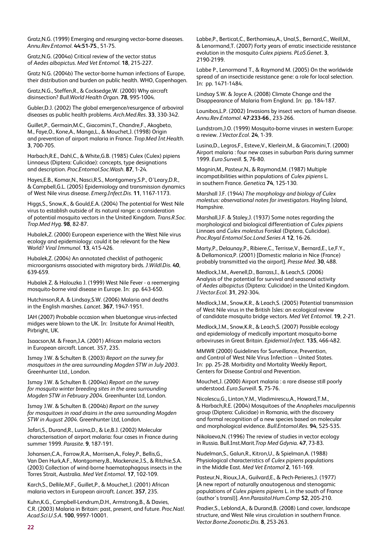Gratz,N.G. (1999) Emerging and resurging vector-borne diseases. *Annu.Rev.Entomol*. **44:51-75**., 51-75.

Gratz,N.G. (2004a) Critical review of the vector status of *Aedes albopictus*. *Med Vet Entomol*. **18**, 215-227.

Gratz N.G. (2004b) The vector-borne human infections of Europe, their distribution and burden on public health. WHO, Copenhagen.

Gratz,N.G., Steffen,R., & Cocksedge,W. (2000) Why aircraft disinsection? *Bull.World Health Organ*. **78**, 995-1004.

Gubler,D.J. (2002) The global emergence/resurgence of arboviral diseases as public health problems. *Arch.Med.Res*. **33**, 330-342.

Guillet,P., Germain,M.C., Giacomini,T., Chandre,F., Akogbeto, M., Faye,O., Kone,A., Manga,L., & Mouchet,J. (1998) Origin and prevention of airport malaria in France. *Trop.Med Int.Health*. **3**, 700-705.

Harbach,R.E., Dahl,C., & White,G.B. (1985) Culex (Culex) pipiens Linnaeus (Diptera: Culicidae): concepts, type designations and description. *Proc.Entomol.Soc.Wash*. **87**, 1-24.

Hayes,E.B., Komar,N., Nasci,R.S., Montgomery,S.P., O'Leary,D.R., & Campbell,G.L. (2005) Epidemiology and transmission dynamics of West Nile virus disease. *Emerg.Infect.Dis.* **11**, 1167-1173.

Higgs,S., Snow,K., & Gould,E.A. (2004) The potential for West Nile virus to establish outside of its natural range: a consideration of potential mosquito vectors in the United Kingdom. *Trans.R.Soc. Trop.Med Hyg*. **98**, 82-87.

Hubalek,Z. (2000) European experience with the West Nile virus ecology and epidemiology: could it be relevant for the New World? *Viral Immunol*. **13**, 415-426.

Hubalek,Z. (2004) An annotated checklist of pathogenic microorganisms associated with migratory birds. *J.Wildl.Dis*. **40**, 639-659.

Hubalek Z. & Halouzka J. (1999) West Nile Fever - a reemerging mosquito-borne viral disease in Europe. In: pp. 643-650.

Hutchinson,R.A. & Lindsay,S.W. (2006) Malaria and deaths in the English marshes. *Lancet*. **367**, 1947-1951.

IAH (2007) Probable occasion when bluetongue virus-infected midges were blown to the UK. In: Insitute for Animal Health, Pirbright, UK.

Isaacson,M. & Frean,J.A. (2001) African malaria vectors in European aircraft. Lancet. 357, 235.

Ismay J.W. & Schulten B. (2003) *Report on the survey for mosquitoes in the area surrounding Mogden STW in July 2003*. Greenhunter Ltd., London.

Ismay J.W. & Schulten B. (2004a) *Report on the survey for mosquito winter breeding sites in the area surrounding Mogden STW in February 2004*. Greenhunter Ltd, London.

Ismay J.W. & Schulten B. (2004b) *Report on the survey for mosquitoes in road drains in the area surrounding Mogden STW in August 2004*. Greenhunter Ltd, London.

Jafari,S., Durand,R., Lusina,D., & Le,B.J. (2002) Molecular characterisation of airport malaria: four cases in France during summer 1999. *Parasite*. **9**, 187-191.

Johansen,C.A., Farrow,R.A., Morrisen,A., Foley,P., Bellis,G., Van Den Hurk,A.F., Montgomery,B., Mackenzie,J.S., & Ritchie,S.A. (2003) Collection of wind-borne haematophagous insects in the Torres Strait, Australia. *Med Vet Entomol*. **17**, 102-109.

Karch,S., Dellile,M.F., Guillet,P., & Mouchet,J. (2001) African malaria vectors in European aircraft. *Lancet*. **357**, 235.

Kuhn,K.G., Campbell-Lendrum,D.H., Armstrong,B., & Davies, C.R. (2003) Malaria in Britain: past, present, and future. *Proc.Natl. Acad.Sci.U.S.A*. **100**, 9997-10001.

Labbe,P., Berticat,C., Berthomieu,A., Unal,S., Bernard,C., Weill,M., & Lenormand,T. (2007) Forty years of erratic insecticide resistance evolution in the mosquito *Culex pipiens*. *PLoS.Genet*. **3**, 2190-2199.

Labbe P., Lenormand T., & Raymond M. (2005) On the worldwide spread of an insecticide resistance gene: a role for local selection. In: pp. 1471-1484.

Lindsay S.W. & Joyce A. (2008) Climate Change and the Disappearance of Malaria from England. In: pp. 184-187.

Lounibos,L.P. (2002) Invasions by insect vectors of human disease. *Annu.Rev.Entomol*. **47:233-66**., 233-266.

Lundstrom,J.O. (1999) Mosquito-borne viruses in western Europe: a review. *J.Vector.Ecol*. **24**, 1-39.

Lusina,D., Legros,F., Esteve,V., Klerlein,M., & Giacomini,T. (2000) Airport malaria : four new cases in suburban Paris during summer 1999. *Euro.Surveill*. **5**, 76-80.

Magnin,M., Pasteur,N., & Raymond,M. (1987) Multiple incompatibilities within populations of *Culex pipiens* L. in southern France. *Genetica* **74**, 125-130.

Marshall J.F. (1944) *The morphology and biology of Culex molestus: observational notes for investigators*. Hayling Island, Hampshire.

Marshall,J.F. & Staley,J. (1937) Some notes regarding the morphological and biological differentiation of *Culex pipiens* Linnaes and *Culex molestus* Forskal (Diptera, Culicidae). *Proc.Royal Entomol.Soc.Lond.Series A* **12**, 16-26.

Marty,P., Delaunay,P., Ribiere,C., Terrisse,V., Bernard,E., Le,F.Y., & Dellamonica,P. (2001) [Domestic malaria in Nice (France) probably transmitted via the airport]. *Presse Med*. **30**, 488.

Medlock,J.M., Avenell,D., Barrass,I., & Leach,S. (2006) Analysis of the potential for survival and seasonal activity of *Aedes albopictus* (Diptera: Culicidae) in the United Kingdom. *J.Vector.Ecol*. **31**, 292-304.

Medlock,J.M., Snow,K.R., & Leach,S. (2005) Potential transmission of West Nile virus in the British Isles: an ecological review of candidate mosquito bridge vectors. *Med Vet Entomol*. **19**, 2-21.

Medlock,J.M., Snow,K.R., & Leach,S. (2007) Possible ecology and epidemiology of medically important mosquito-borne arboviruses in Great Britain. *Epidemiol.Infect*. **135**, 466-482.

MMWR (2000) Guidelines for Surveillance, Prevention, and Control of West Nile Virus Infection -- United States. In: pp. 25-28. Morbidity and Mortality Weekly Report, Centers for Disease Control and Prevention.

Mouchet,J. (2000) Airport malaria : a rare disease still poorly understood. *Euro.Surveill*. **5**, 75-76.

Nicolescu,G., Linton,Y.M., Vladimirescu,A., Howard,T.M., & Harbach,R.E. (2004) Mosquitoes of the *Anopheles maculipennis* group (Diptera: Culicidae) in Romania, with the discovery and formal recognition of a new species based on molecular and morphological evidence. *Bull.Entomol.Res*. **94**, 525-535.

Nikolaeva,N. (1996) The review of studies in vector ecology in Russia. Bull.Inst.Marit.*Trop Med Gdynia*. **47**, 73-83.

Nudelman,S., Galun,R., Kitron,U., & Spielman,A. (1988) Physiological characteristics of *Culex pipiens* populations in the Middle East. *Med Vet Entomol* **2**, 161-169.

Pasteur,N., Rioux,J.A., Guilvard,E., & Pech-Perieres,J. (1977) [A new report of naturally anautogenous and stenogamic populations of *Culex pipiens pipiens* L. in the south of France (author's transl)]. *Ann.Parasitol.Hum.Comp* **52**, 205-210.

Pradier,S., Leblond,A., & Durand,B. (2008) Land cover, landscape structure, and West Nile virus circulation in southern France. *Vector.Borne.Zoonotic.Dis*. **8**, 253-263.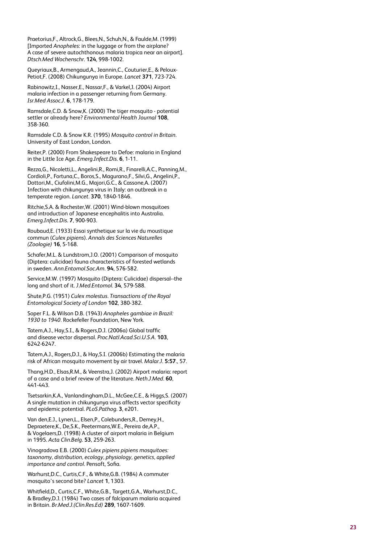Praetorius,F., Altrock,G., Blees,N., Schuh,N., & Faulde,M. (1999) [Imported *Anopheles*: in the luggage or from the airplane? A case of severe autochthonous malaria tropica near an airport]. *Dtsch.Med Wochenschr*. **124**, 998-1002.

Queyriaux,B., Armengaud,A., Jeannin,C., Couturier,E., & Peloux-Petiot,F. (2008) Chikungunya in Europe. *Lancet* **371**, 723-724.

Rabinowitz,I., Nasser,E., Nassar,F., & Varkel,J. (2004) Airport malaria infection in a passenger returning from Germany. *Isr.Med Assoc.J*. **6**, 178-179.

Ramsdale,C.D. & Snow,K. (2000) The tiger mosquito - potential settler or already here? *Environmental Health Journal* **108**, 358-360.

Ramsdale C.D. & Snow K.R. (1995) *Mosquito control in Britain*. University of East London, London.

Reiter,P. (2000) From Shakespeare to Defoe: malaria in England in the Little Ice Age. *Emerg.Infect.Dis*. **6**, 1-11.

Rezza,G., Nicoletti,L., Angelini,R., Romi,R., Finarelli,A.C., Panning,M., Cordioli,P., Fortuna,C., Boros,S., Magurano,F., Silvi,G., Angelini,P., Dottori,M., Ciufolini,M.G., Majori,G.C., & Cassone,A. (2007) Infection with chikungunya virus in Italy: an outbreak in a temperate region. *Lancet*. **370**, 1840-1846.

Ritchie,S.A. & Rochester,W. (2001) Wind-blown mosquitoes and introduction of Japanese encephalitis into Australia. *Emerg.Infect.Dis*. **7**, 900-903.

Roubaud,E. (1933) Essai synthetique sur la vie du moustique commun (*Culex pipiens*). *Annals des Sciences Naturelles (Zoologie)* **16**, 5-168.

Schafer,M.L. & Lundstrom,J.O. (2001) Comparison of mosquito (Diptera: culicidae) fauna characteristics of forested wetlands in sweden. *Ann.Entomol.Soc.Am*. **94**, 576-582.

Service,M.W. (1997) Mosquito (Diptera: Culicidae) dispersal--the long and short of it. *J.Med.Entomol*. **34**, 579-588.

Shute,P.G. (1951) *Culex molestus*. *Transactions of the Royal Entomological Society of London* **102**, 380-382.

Soper F.L. & Wilson D.B. (1943) *Anopheles gambiae in Brazil: 1930 to 1940.* Rockefeller Foundation, New York.

Tatem,A.J., Hay,S.I., & Rogers,D.J. (2006a) Global traffic and disease vector dispersal. *Proc.Natl.Acad.Sci.U.S.A*. **103**, 6242-6247.

Tatem,A.J., Rogers,D.J., & Hay,S.I. (2006b) Estimating the malaria risk of African mosquito movement by air travel. *Malar.J*. **5:57**., 57.

Thang,H.D., Elsas,R.M., & Veenstra,J. (2002) Airport malaria: report of a case and a brief review of the literature. *Neth.J.Med*. **60**, 441-443.

Tsetsarkin,K.A., Vanlandingham,D.L., McGee,C.E., & Higgs,S. (2007) A single mutation in chikungunya virus affects vector specificity and epidemic potential. *PLoS.Pathog*. **3**, e201.

Van den,E.J., Lynen,L., Elsen,P., Colebunders,R., Demey,H., Depraetere,K., De,S.K., Peetermans,W.E., Pereira de,A.P., & Vogelaers,D. (1998) A cluster of airport malaria in Belgium in 1995. *Acta Clin.Belg*. **53**, 259-263.

Vinogradova E.B. (2000) *Culex pipiens pipiens mosquitoes: taxonomy, distribution, ecology, physiology, genetics, applied importance and control*. Pensoft, Sofia.

Warhurst,D.C., Curtis,C.F., & White,G.B. (1984) A commuter mosquito's second bite? *Lancet* **1**, 1303.

Whitfield,D., Curtis,C.F., White,G.B., Targett,G.A., Warhurst,D.C., & Bradley,D.J. (1984) Two cases of falciparum malaria acquired in Britain. *Br.Med.J.(Clin.Res.Ed)* **289**, 1607-1609.